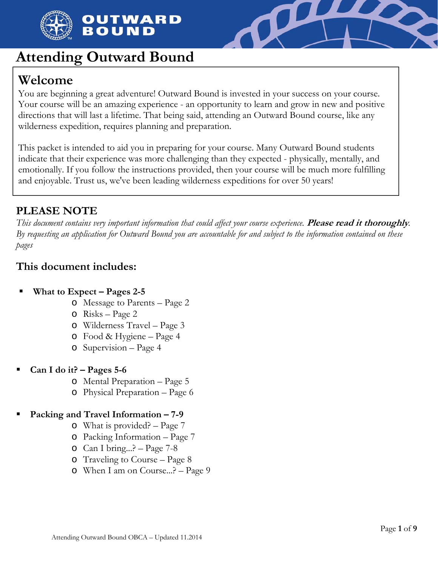

## OUTWARD BOUND



# **Attending Outward Bound**

# **Welcome**

You are beginning a great adventure! Outward Bound is invested in your success on your course. Your course will be an amazing experience - an opportunity to learn and grow in new and positive directions that will last a lifetime. That being said, attending an Outward Bound course, like any wilderness expedition, requires planning and preparation.

This packet is intended to aid you in preparing for your course. Many Outward Bound students indicate that their experience was more challenging than they expected - physically, mentally, and emotionally. If you follow the instructions provided, then your course will be much more fulfilling and enjoyable. Trust us, we've been leading wilderness expeditions for over 50 years!

# **PLEASE NOTE**

*This document contains very important information that could affect your course experience.* **Please read it thoroughly***. By requesting an application for Outward Bound you are accountable for and subject to the information contained on these pages* 

## **This document includes:**

- **What to Expect Pages 2-5** 
	- o Message to Parents Page 2
	- o Risks Page 2
	- o Wilderness Travel Page 3
	- o Food & Hygiene Page 4
	- o Supervision Page 4
- **Can I do it? Pages 5-6** 
	- o Mental Preparation Page 5
	- o Physical Preparation Page 6

### **Packing and Travel Information – 7-9**

- o What is provided? Page 7
- o Packing Information Page 7
- o Can I bring...? Page 7-8
- o Traveling to Course Page 8
- o When I am on Course...? Page 9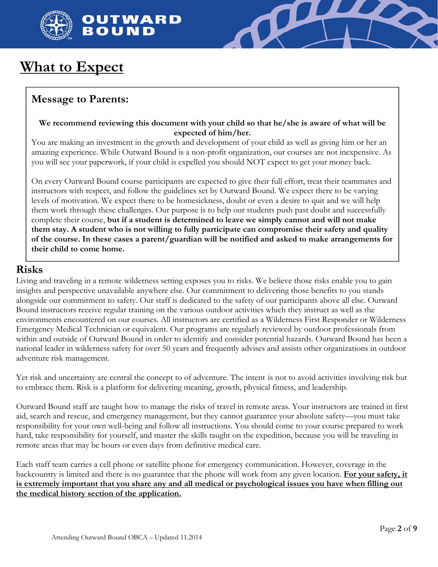



# **What to Expect**

## **Message to Parents:**

### **We recommend reviewing this document with your child so that he/she is aware of what will be expected of him/her.**

You are making an investment in the growth and development of your child as well as giving him or her an amazing experience. While Outward Bound is a non-profit organization, our courses are not inexpensive. As you will see your paperwork, if your child is expelled you should NOT expect to get your money back.

On every Outward Bound course participants are expected to give their full effort, treat their teammates and instructors with respect, and follow the guidelines set by Outward Bound. We expect there to be varying levels of motivation. We expect there to be homesickness, doubt or even a desire to quit and we will help them work through these challenges. Our purpose is to help our students push past doubt and successfully complete their course, **but if a student is determined to leave we simply cannot and will not make them stay. A student who is not willing to fully participate can compromise their safety and quality of the course. In these cases a parent/guardian will be notified and asked to make arrangements for their child to come home.** 

### **Risks**

Living and traveling in a remote wilderness setting exposes you to risks. We believe those risks enable you to gain insights and perspective unavailable anywhere else. Our commitment to delivering those benefits to you stands alongside our commitment to safety. Our staff is dedicated to the safety of our participants above all else. Outward Bound instructors receive regular training on the various outdoor activities which they instruct as well as the environments encountered on our courses. All instructors are certified as a Wilderness First Responder or Wilderness Emergency Medical Technician or equivalent. Our programs are regularly reviewed by outdoor professionals from within and outside of Outward Bound in order to identify and consider potential hazards. Outward Bound has been a national leader in wilderness safety for over 50 years and frequently advises and assists other organizations in outdoor adventure risk management.

Yet risk and uncertainty are central the concept to of adventure. The intent is not to avoid activities involving risk but to embrace them. Risk is a platform for delivering meaning, growth, physical fitness, and leadership.

Outward Bound staff are taught how to manage the risks of travel in remote areas. Your instructors are trained in first aid, search and rescue, and emergency management, but they cannot guarantee your absolute safety—you must take responsibility for your own well-being and follow all instructions. You should come to your course prepared to work hard, take responsibility for yourself, and master the skills taught on the expedition, because you will be traveling in remote areas that may be hours or even days from definitive medical care.

Each staff team carries a cell phone or satellite phone for emergency communication. However, coverage in the backcountry is limited and there is no guarantee that the phone will work from any given location. **For your safety, it is extremely important that you share any and all medical or psychological issues you have when filling out the medical history section of the application.**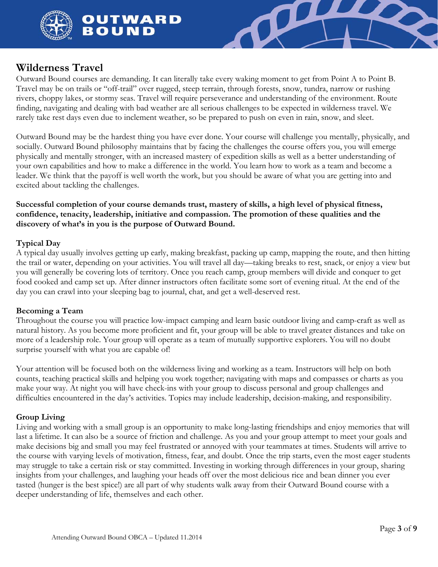





### **Wilderness Travel**

Outward Bound courses are demanding. It can literally take every waking moment to get from Point A to Point B. Travel may be on trails or "off-trail" over rugged, steep terrain, through forests, snow, tundra, narrow or rushing rivers, choppy lakes, or stormy seas. Travel will require perseverance and understanding of the environment. Route finding, navigating and dealing with bad weather are all serious challenges to be expected in wilderness travel. We rarely take rest days even due to inclement weather, so be prepared to push on even in rain, snow, and sleet.

Outward Bound may be the hardest thing you have ever done. Your course will challenge you mentally, physically, and socially. Outward Bound philosophy maintains that by facing the challenges the course offers you, you will emerge physically and mentally stronger, with an increased mastery of expedition skills as well as a better understanding of your own capabilities and how to make a difference in the world. You learn how to work as a team and become a leader. We think that the payoff is well worth the work, but you should be aware of what you are getting into and excited about tackling the challenges.

**Successful completion of your course demands trust, mastery of skills, a high level of physical fitness, confidence, tenacity, leadership, initiative and compassion. The promotion of these qualities and the discovery of what's in you is the purpose of Outward Bound.** 

### **Typical Day**

A typical day usually involves getting up early, making breakfast, packing up camp, mapping the route, and then hitting the trail or water, depending on your activities. You will travel all day—taking breaks to rest, snack, or enjoy a view but you will generally be covering lots of territory. Once you reach camp, group members will divide and conquer to get food cooked and camp set up. After dinner instructors often facilitate some sort of evening ritual. At the end of the day you can crawl into your sleeping bag to journal, chat, and get a well-deserved rest.

### **Becoming a Team**

Throughout the course you will practice low-impact camping and learn basic outdoor living and camp-craft as well as natural history. As you become more proficient and fit, your group will be able to travel greater distances and take on more of a leadership role. Your group will operate as a team of mutually supportive explorers. You will no doubt surprise yourself with what you are capable of!

Your attention will be focused both on the wilderness living and working as a team. Instructors will help on both counts, teaching practical skills and helping you work together; navigating with maps and compasses or charts as you make your way. At night you will have check-ins with your group to discuss personal and group challenges and difficulties encountered in the day's activities. Topics may include leadership, decision-making, and responsibility.

### **Group Living**

Living and working with a small group is an opportunity to make long-lasting friendships and enjoy memories that will last a lifetime. It can also be a source of friction and challenge. As you and your group attempt to meet your goals and make decisions big and small you may feel frustrated or annoyed with your teammates at times. Students will arrive to the course with varying levels of motivation, fitness, fear, and doubt. Once the trip starts, even the most eager students may struggle to take a certain risk or stay committed. Investing in working through differences in your group, sharing insights from your challenges, and laughing your heads off over the most delicious rice and bean dinner you ever tasted (hunger is the best spice!) are all part of why students walk away from their Outward Bound course with a deeper understanding of life, themselves and each other.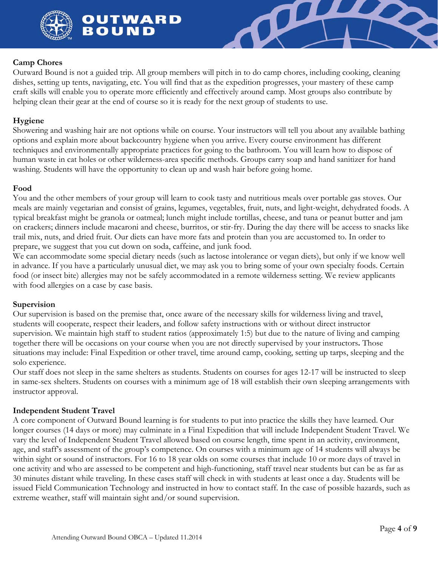

OUTWARD BOUND



### **Camp Chores**

Outward Bound is not a guided trip. All group members will pitch in to do camp chores, including cooking, cleaning dishes, setting up tents, navigating, etc. You will find that as the expedition progresses, your mastery of these camp craft skills will enable you to operate more efficiently and effectively around camp. Most groups also contribute by helping clean their gear at the end of course so it is ready for the next group of students to use.

#### **Hygiene**

Showering and washing hair are not options while on course. Your instructors will tell you about any available bathing options and explain more about backcountry hygiene when you arrive. Every course environment has different techniques and environmentally appropriate practices for going to the bathroom. You will learn how to dispose of human waste in cat holes or other wilderness-area specific methods. Groups carry soap and hand sanitizer for hand washing. Students will have the opportunity to clean up and wash hair before going home.

#### **Food**

You and the other members of your group will learn to cook tasty and nutritious meals over portable gas stoves. Our meals are mainly vegetarian and consist of grains, legumes, vegetables, fruit, nuts, and light-weight, dehydrated foods. A typical breakfast might be granola or oatmeal; lunch might include tortillas, cheese, and tuna or peanut butter and jam on crackers; dinners include macaroni and cheese, burritos, or stir-fry. During the day there will be access to snacks like trail mix, nuts, and dried fruit. Our diets can have more fats and protein than you are accustomed to. In order to prepare, we suggest that you cut down on soda, caffeine, and junk food.

We can accommodate some special dietary needs (such as lactose intolerance or vegan diets), but only if we know well in advance. If you have a particularly unusual diet, we may ask you to bring some of your own specialty foods. Certain food (or insect bite) allergies may not be safely accommodated in a remote wilderness setting. We review applicants with food allergies on a case by case basis.

#### **Supervision**

Our supervision is based on the premise that, once aware of the necessary skills for wilderness living and travel, students will cooperate, respect their leaders, and follow safety instructions with or without direct instructor supervision. We maintain high staff to student ratios (approximately 1:5) but due to the nature of living and camping together there will be occasions on your course when you are not directly supervised by your instructors**.** Those situations may include: Final Expedition or other travel, time around camp, cooking, setting up tarps, sleeping and the solo experience.

Our staff does not sleep in the same shelters as students. Students on courses for ages 12-17 will be instructed to sleep in same-sex shelters. Students on courses with a minimum age of 18 will establish their own sleeping arrangements with instructor approval.

#### **Independent Student Travel**

A core component of Outward Bound learning is for students to put into practice the skills they have learned. Our longer courses (14 days or more) may culminate in a Final Expedition that will include Independent Student Travel. We vary the level of Independent Student Travel allowed based on course length, time spent in an activity, environment, age, and staff's assessment of the group's competence. On courses with a minimum age of 14 students will always be within sight or sound of instructors. For 16 to 18 year olds on some courses that include 10 or more days of travel in one activity and who are assessed to be competent and high-functioning, staff travel near students but can be as far as 30 minutes distant while traveling. In these cases staff will check in with students at least once a day. Students will be issued Field Communication Technology and instructed in how to contact staff. In the case of possible hazards, such as extreme weather, staff will maintain sight and/or sound supervision.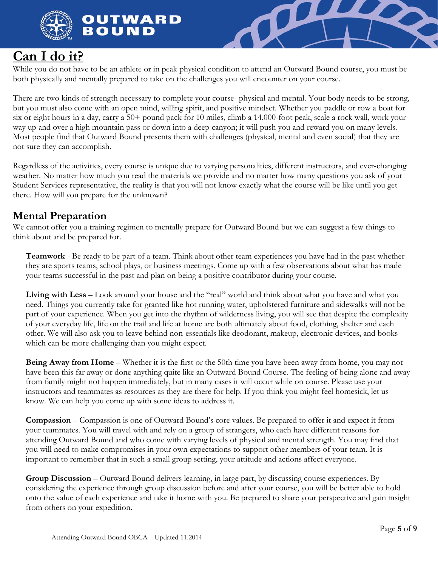

OUTWARD **BOUN** 



# **Can I do it?**

While you do not have to be an athlete or in peak physical condition to attend an Outward Bound course, you must be both physically and mentally prepared to take on the challenges you will encounter on your course.

There are two kinds of strength necessary to complete your course- physical and mental. Your body needs to be strong, but you must also come with an open mind, willing spirit, and positive mindset. Whether you paddle or row a boat for six or eight hours in a day, carry a 50+ pound pack for 10 miles, climb a 14,000-foot peak, scale a rock wall, work your way up and over a high mountain pass or down into a deep canyon; it will push you and reward you on many levels. Most people find that Outward Bound presents them with challenges (physical, mental and even social) that they are not sure they can accomplish.

Regardless of the activities, every course is unique due to varying personalities, different instructors, and ever-changing weather. No matter how much you read the materials we provide and no matter how many questions you ask of your Student Services representative, the reality is that you will not know exactly what the course will be like until you get there. How will you prepare for the unknown?

## **Mental Preparation**

We cannot offer you a training regimen to mentally prepare for Outward Bound but we can suggest a few things to think about and be prepared for.

**Teamwork** - Be ready to be part of a team. Think about other team experiences you have had in the past whether they are sports teams, school plays, or business meetings. Come up with a few observations about what has made your teams successful in the past and plan on being a positive contributor during your course.

**Living with Less** – Look around your house and the "real" world and think about what you have and what you need. Things you currently take for granted like hot running water, upholstered furniture and sidewalks will not be part of your experience. When you get into the rhythm of wilderness living, you will see that despite the complexity of your everyday life, life on the trail and life at home are both ultimately about food, clothing, shelter and each other. We will also ask you to leave behind non-essentials like deodorant, makeup, electronic devices, and books which can be more challenging than you might expect.

**Being Away from Home** – Whether it is the first or the 50th time you have been away from home, you may not have been this far away or done anything quite like an Outward Bound Course. The feeling of being alone and away from family might not happen immediately, but in many cases it will occur while on course. Please use your instructors and teammates as resources as they are there for help. If you think you might feel homesick, let us know. We can help you come up with some ideas to address it.

**Compassion** – Compassion is one of Outward Bound's core values. Be prepared to offer it and expect it from your teammates. You will travel with and rely on a group of strangers, who each have different reasons for attending Outward Bound and who come with varying levels of physical and mental strength. You may find that you will need to make compromises in your own expectations to support other members of your team. It is important to remember that in such a small group setting, your attitude and actions affect everyone.

**Group Discussion** – Outward Bound delivers learning, in large part, by discussing course experiences. By considering the experience through group discussion before and after your course, you will be better able to hold onto the value of each experience and take it home with you. Be prepared to share your perspective and gain insight from others on your expedition.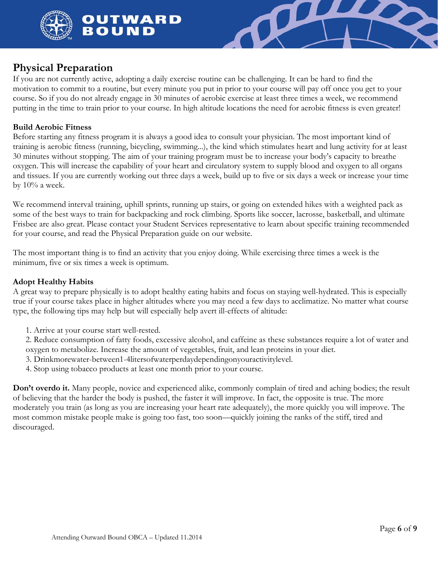



### **Physical Preparation**

If you are not currently active, adopting a daily exercise routine can be challenging. It can be hard to find the motivation to commit to a routine, but every minute you put in prior to your course will pay off once you get to your course. So if you do not already engage in 30 minutes of aerobic exercise at least three times a week, we recommend putting in the time to train prior to your course. In high altitude locations the need for aerobic fitness is even greater!

### **Build Aerobic Fitness**

Before starting any fitness program it is always a good idea to consult your physician. The most important kind of training is aerobic fitness (running, bicycling, swimming...), the kind which stimulates heart and lung activity for at least 30 minutes without stopping. The aim of your training program must be to increase your body's capacity to breathe oxygen. This will increase the capability of your heart and circulatory system to supply blood and oxygen to all organs and tissues. If you are currently working out three days a week, build up to five or six days a week or increase your time by 10% a week.

We recommend interval training, uphill sprints, running up stairs, or going on extended hikes with a weighted pack as some of the best ways to train for backpacking and rock climbing. Sports like soccer, lacrosse, basketball, and ultimate Frisbee are also great. Please contact your Student Services representative to learn about specific training recommended for your course, and read the Physical Preparation guide on our website.

The most important thing is to find an activity that you enjoy doing. While exercising three times a week is the minimum, five or six times a week is optimum.

### **Adopt Healthy Habits**

A great way to prepare physically is to adopt healthy eating habits and focus on staying well-hydrated. This is especially true if your course takes place in higher altitudes where you may need a few days to acclimatize. No matter what course type, the following tips may help but will especially help avert ill-effects of altitude:

1. Arrive at your course start well-rested.

2. Reduce consumption of fatty foods, excessive alcohol, and caffeine as these substances require a lot of water and oxygen to metabolize. Increase the amount of vegetables, fruit, and lean proteins in your diet.

- 3. Drinkmorewater-between1-4litersofwaterperdaydependingonyouractivitylevel.
- 4. Stop using tobacco products at least one month prior to your course.

**Don't overdo it.** Many people, novice and experienced alike, commonly complain of tired and aching bodies; the result of believing that the harder the body is pushed, the faster it will improve. In fact, the opposite is true. The more moderately you train (as long as you are increasing your heart rate adequately), the more quickly you will improve. The most common mistake people make is going too fast, too soon—quickly joining the ranks of the stiff, tired and discouraged.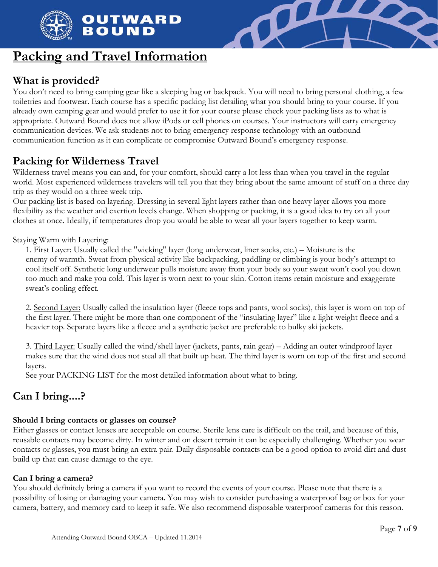

# **Packing and Travel Information**

## **What is provided?**

You don't need to bring camping gear like a sleeping bag or backpack. You will need to bring personal clothing, a few toiletries and footwear. Each course has a specific packing list detailing what you should bring to your course. If you already own camping gear and would prefer to use it for your course please check your packing lists as to what is appropriate. Outward Bound does not allow iPods or cell phones on courses. Your instructors will carry emergency communication devices. We ask students not to bring emergency response technology with an outbound communication function as it can complicate or compromise Outward Bound's emergency response.

**TIL** 

# **Packing for Wilderness Travel**

Wilderness travel means you can and, for your comfort, should carry a lot less than when you travel in the regular world. Most experienced wilderness travelers will tell you that they bring about the same amount of stuff on a three day trip as they would on a three week trip.

Our packing list is based on layering. Dressing in several light layers rather than one heavy layer allows you more flexibility as the weather and exertion levels change. When shopping or packing, it is a good idea to try on all your clothes at once. Ideally, if temperatures drop you would be able to wear all your layers together to keep warm.

Staying Warm with Layering:

1. First Layer: Usually called the "wicking" layer (long underwear, liner socks, etc.) – Moisture is the enemy of warmth. Sweat from physical activity like backpacking, paddling or climbing is your body's attempt to cool itself off. Synthetic long underwear pulls moisture away from your body so your sweat won't cool you down too much and make you cold. This layer is worn next to your skin. Cotton items retain moisture and exaggerate sweat's cooling effect.

2. Second Layer: Usually called the insulation layer (fleece tops and pants, wool socks), this layer is worn on top of the first layer. There might be more than one component of the "insulating layer" like a light-weight fleece and a heavier top. Separate layers like a fleece and a synthetic jacket are preferable to bulky ski jackets.

3. Third Layer: Usually called the wind/shell layer (jackets, pants, rain gear) – Adding an outer windproof layer makes sure that the wind does not steal all that built up heat. The third layer is worn on top of the first and second layers.

See your PACKING LIST for the most detailed information about what to bring.

## **Can I bring....?**

### **Should I bring contacts or glasses on course?**

Either glasses or contact lenses are acceptable on course. Sterile lens care is difficult on the trail, and because of this, reusable contacts may become dirty. In winter and on desert terrain it can be especially challenging. Whether you wear contacts or glasses, you must bring an extra pair. Daily disposable contacts can be a good option to avoid dirt and dust build up that can cause damage to the eye.

### **Can I bring a camera?**

You should definitely bring a camera if you want to record the events of your course. Please note that there is a possibility of losing or damaging your camera. You may wish to consider purchasing a waterproof bag or box for your camera, battery, and memory card to keep it safe. We also recommend disposable waterproof cameras for this reason.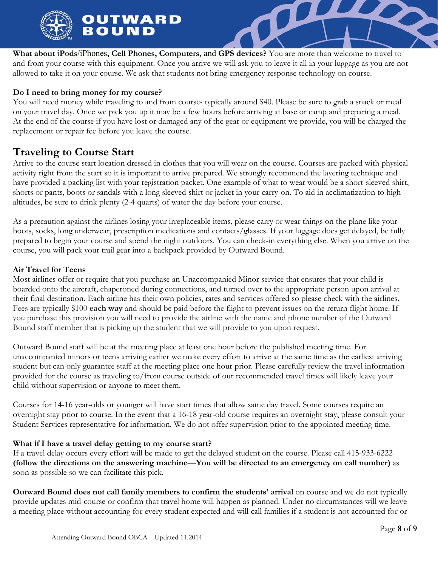

**What about** i**Pods**/iPhones**, Cell Phones, Computers,** and **GPS devices?** You are more than welcome to travel to and from your course with this equipment. Once you arrive we will ask you to leave it all in your luggage as you are not allowed to take it on your course. We ask that students not bring emergency response technology on course.

 $\boldsymbol{\varOmega}$ 

### **Do I need to bring money for my course?**

You will need money while traveling to and from course- typically around \$40. Please be sure to grab a snack or meal on your travel day. Once we pick you up it may be a few hours before arriving at base or camp and preparing a meal. At the end of the course if you have lost or damaged any of the gear or equipment we provide, you will be charged the replacement or repair fee before you leave the course.

## **Traveling to Course Start**

Arrive to the course start location dressed in clothes that you will wear on the course. Courses are packed with physical activity right from the start so it is important to arrive prepared. We strongly recommend the layering technique and have provided a packing list with your registration packet. One example of what to wear would be a short-sleeved shirt, shorts or pants, boots or sandals with a long sleeved shirt or jacket in your carry-on. To aid in acclimatization to high altitudes, be sure to drink plenty (2-4 quarts) of water the day before your course.

As a precaution against the airlines losing your irreplaceable items, please carry or wear things on the plane like your boots, socks, long underwear, prescription medications and contacts/glasses. If your luggage does get delayed, be fully prepared to begin your course and spend the night outdoors. You can check-in everything else. When you arrive on the course, you will pack your trail gear into a backpack provided by Outward Bound.

### **Air Travel for Teens**

Most airlines offer or require that you purchase an Unaccompanied Minor service that ensures that your child is boarded onto the aircraft, chaperoned during connections, and turned over to the appropriate person upon arrival at their final destination. Each airline has their own policies, rates and services offered so please check with the airlines. Fees are typically \$100 **each way** and should be paid before the flight to prevent issues on the return flight home. If you purchase this provision you will need to provide the airline with the name and phone number of the Outward Bound staff member that is picking up the student that we will provide to you upon request.

Outward Bound staff will be at the meeting place at least one hour before the published meeting time. For unaccompanied minors or teens arriving earlier we make every effort to arrive at the same time as the earliest arriving student but can only guarantee staff at the meeting place one hour prior. Please carefully review the travel information provided for the course as traveling to/from course outside of our recommended travel times will likely leave your child without supervision or anyone to meet them.

Courses for 14-16 year-olds or younger will have start times that allow same day travel. Some courses require an overnight stay prior to course. In the event that a 16-18 year-old course requires an overnight stay, please consult your Student Services representative for information. We do not offer supervision prior to the appointed meeting time.

### **What if I have a travel delay getting to my course start?**

If a travel delay occurs every effort will be made to get the delayed student on the course. Please call 415-933-6222 **(follow the directions on the answering machine—You will be directed to an emergency on call number)** as soon as possible so we can facilitate this pick.

**Outward Bound does not call family members to confirm the students' arrival** on course and we do not typically provide updates mid-course or confirm that travel home will happen as planned. Under no circumstances will we leave a meeting place without accounting for every student expected and will call families if a student is not accounted for or